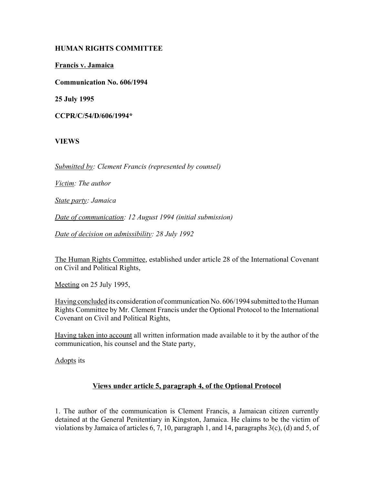### **HUMAN RIGHTS COMMITTEE**

**Francis v. Jamaica**

**Communication No. 606/1994**

**25 July 1995**

**CCPR/C/54/D/606/1994\***

# **VIEWS**

*Submitted by: Clement Francis (represented by counsel)*

*Victim: The author*

*State party: Jamaica*

*Date of communication: 12 August 1994 (initial submission)*

*Date of decision on admissibility: 28 July 1992*

The Human Rights Committee, established under article 28 of the International Covenant on Civil and Political Rights,

Meeting on 25 July 1995,

Having concluded its consideration of communication No. 606/1994 submitted to the Human Rights Committee by Mr. Clement Francis under the Optional Protocol to the International Covenant on Civil and Political Rights,

Having taken into account all written information made available to it by the author of the communication, his counsel and the State party,

Adopts its

# **Views under article 5, paragraph 4, of the Optional Protocol**

1. The author of the communication is Clement Francis, a Jamaican citizen currently detained at the General Penitentiary in Kingston, Jamaica. He claims to be the victim of violations by Jamaica of articles 6, 7, 10, paragraph 1, and 14, paragraphs 3(c), (d) and 5, of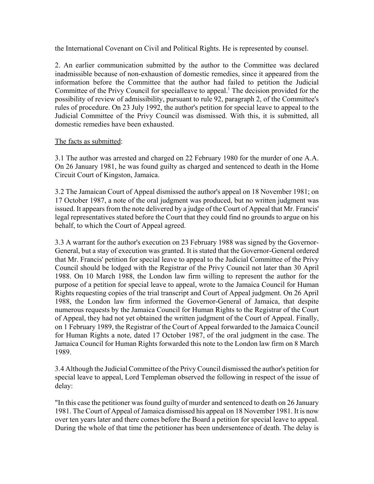the International Covenant on Civil and Political Rights. He is represented by counsel.

2. An earlier communication submitted by the author to the Committee was declared inadmissible because of non-exhaustion of domestic remedies, since it appeared from the information before the Committee that the author had failed to petition the Judicial Committee of the Privy Council for specialleave to appeal.<sup>1</sup> The decision provided for the possibility of review of admissibility, pursuant to rule 92, paragraph 2, of the Committee's rules of procedure. On 23 July 1992, the author's petition for special leave to appeal to the Judicial Committee of the Privy Council was dismissed. With this, it is submitted, all domestic remedies have been exhausted.

### The facts as submitted:

3.1 The author was arrested and charged on 22 February 1980 for the murder of one A.A. On 26 January 1981, he was found guilty as charged and sentenced to death in the Home Circuit Court of Kingston, Jamaica.

3.2 The Jamaican Court of Appeal dismissed the author's appeal on 18 November 1981; on 17 October 1987, a note of the oral judgment was produced, but no written judgment was issued. It appears from the note delivered by a judge of the Court of Appeal that Mr. Francis' legal representatives stated before the Court that they could find no grounds to argue on his behalf, to which the Court of Appeal agreed.

3.3 A warrant for the author's execution on 23 February 1988 was signed by the Governor-General, but a stay of execution was granted. It is stated that the Governor-General ordered that Mr. Francis' petition for special leave to appeal to the Judicial Committee of the Privy Council should be lodged with the Registrar of the Privy Council not later than 30 April 1988. On 10 March 1988, the London law firm willing to represent the author for the purpose of a petition for special leave to appeal, wrote to the Jamaica Council for Human Rights requesting copies of the trial transcript and Court of Appeal judgment. On 26 April 1988, the London law firm informed the Governor-General of Jamaica, that despite numerous requests by the Jamaica Council for Human Rights to the Registrar of the Court of Appeal, they had not yet obtained the written judgment of the Court of Appeal. Finally, on 1 February 1989, the Registrar of the Court of Appeal forwarded to the Jamaica Council for Human Rights a note, dated 17 October 1987, of the oral judgment in the case. The Jamaica Council for Human Rights forwarded this note to the London law firm on 8 March 1989.

3.4 Although the Judicial Committee of the Privy Council dismissed the author's petition for special leave to appeal, Lord Templeman observed the following in respect of the issue of delay:

"In this case the petitioner was found guilty of murder and sentenced to death on 26 January 1981. The Court of Appeal of Jamaica dismissed his appeal on 18 November 1981. It is now over ten years later and there comes before the Board a petition for special leave to appeal. During the whole of that time the petitioner has been undersentence of death. The delay is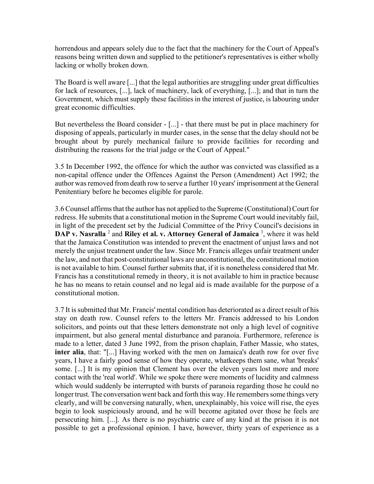horrendous and appears solely due to the fact that the machinery for the Court of Appeal's reasons being written down and supplied to the petitioner's representatives is either wholly lacking or wholly broken down.

The Board is well aware [...] that the legal authorities are struggling under great difficulties for lack of resources, [...], lack of machinery, lack of everything, [...]; and that in turn the Government, which must supply these facilities in the interest of justice, is labouring under great economic difficulties.

But nevertheless the Board consider - [...] - that there must be put in place machinery for disposing of appeals, particularly in murder cases, in the sense that the delay should not be brought about by purely mechanical failure to provide facilities for recording and distributing the reasons for the trial judge or the Court of Appeal."

3.5 In December 1992, the offence for which the author was convicted was classified as a non-capital offence under the Offences Against the Person (Amendment) Act 1992; the author was removed from death row to serve a further 10 years' imprisonment at the General Penitentiary before he becomes eligible for parole.

3.6 Counsel affirms that the author has not applied to the Supreme (Constitutional) Court for redress. He submits that a constitutional motion in the Supreme Court would inevitably fail, in light of the precedent set by the Judicial Committee of the Privy Council's decisions in **DAP v. Nasralla** <sup>2</sup> and **Riley et al. v. Attorney General of Jamaica** <sup>3</sup>, where it was held that the Jamaica Constitution was intended to prevent the enactment of unjust laws and not merely the unjust treatment under the law. Since Mr. Francis alleges unfair treatment under the law, and not that post-constitutional laws are unconstitutional, the constitutional motion is not available to him. Counsel further submits that, if it is nonetheless considered that Mr. Francis has a constitutional remedy in theory, it is not available to him in practice because he has no means to retain counsel and no legal aid is made available for the purpose of a constitutional motion.

3.7 It is submitted that Mr. Francis' mental condition has deteriorated as a direct result of his stay on death row. Counsel refers to the letters Mr. Francis addressed to his London solicitors, and points out that these letters demonstrate not only a high level of cognitive impairment, but also general mental disturbance and paranoia. Furthermore, reference is made to a letter, dated 3 June 1992, from the prison chaplain, Father Massie, who states, **inter alia**, that: "[...] Having worked with the men on Jamaica's death row for over five years, I have a fairly good sense of how they operate, whatkeeps them sane, what 'breaks' some. [...] It is my opinion that Clement has over the eleven years lost more and more contact with the 'real world'. While we spoke there were moments of lucidity and calmness which would suddenly be interrupted with bursts of paranoia regarding those he could no longer trust. The conversation went back and forth this way. He remembers some things very clearly, and will be conversing naturally, when, unexplainably, his voice will rise, the eyes begin to look suspiciously around, and he will become agitated over those he feels are persecuting him. [...]. As there is no psychiatric care of any kind at the prison it is not possible to get a professional opinion. I have, however, thirty years of experience as a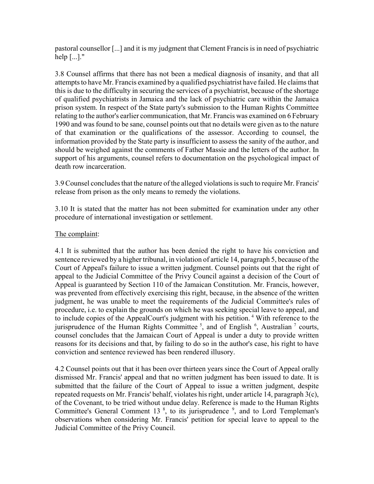pastoral counsellor [...] and it is my judgment that Clement Francis is in need of psychiatric help [...]."

3.8 Counsel affirms that there has not been a medical diagnosis of insanity, and that all attempts to have Mr. Francis examined by a qualified psychiatrist have failed. He claims that this is due to the difficulty in securing the services of a psychiatrist, because of the shortage of qualified psychiatrists in Jamaica and the lack of psychiatric care within the Jamaica prison system. In respect of the State party's submission to the Human Rights Committee relating to the author's earlier communication, that Mr. Francis was examined on 6 February 1990 and was found to be sane, counsel points out that no details were given as to the nature of that examination or the qualifications of the assessor. According to counsel, the information provided by the State party is insufficient to assess the sanity of the author, and should be weighed against the comments of Father Massie and the letters of the author. In support of his arguments, counsel refers to documentation on the psychological impact of death row incarceration.

3.9 Counsel concludes that the nature of the alleged violations is such to require Mr. Francis' release from prison as the only means to remedy the violations.

3.10 It is stated that the matter has not been submitted for examination under any other procedure of international investigation or settlement.

### The complaint:

4.1 It is submitted that the author has been denied the right to have his conviction and sentence reviewed by a higher tribunal, in violation of article 14, paragraph 5, because of the Court of Appeal's failure to issue a written judgment. Counsel points out that the right of appeal to the Judicial Committee of the Privy Council against a decision of the Court of Appeal is guaranteed by Section 110 of the Jamaican Constitution. Mr. Francis, however, was prevented from effectively exercising this right, because, in the absence of the written judgment, he was unable to meet the requirements of the Judicial Committee's rules of procedure, i.e. to explain the grounds on which he was seeking special leave to appeal, and to include copies of the AppealCourt's judgment with his petition.<sup>4</sup> With reference to the jurisprudence of the Human Rights Committee<sup>5</sup>, and of English<sup>6</sup>, Australian<sup>7</sup> courts, counsel concludes that the Jamaican Court of Appeal is under a duty to provide written reasons for its decisions and that, by failing to do so in the author's case, his right to have conviction and sentence reviewed has been rendered illusory.

4.2 Counsel points out that it has been over thirteen years since the Court of Appeal orally dismissed Mr. Francis' appeal and that no written judgment has been issued to date. It is submitted that the failure of the Court of Appeal to issue a written judgment, despite repeated requests on Mr. Francis' behalf, violates his right, under article 14, paragraph 3(c), of the Covenant, to be tried without undue delay. Reference is made to the Human Rights Committee's General Comment 13 $\,$ <sup>8</sup>, to its jurisprudence  $\,$ <sup>9</sup>, and to Lord Templeman's observations when considering Mr. Francis' petition for special leave to appeal to the Judicial Committee of the Privy Council.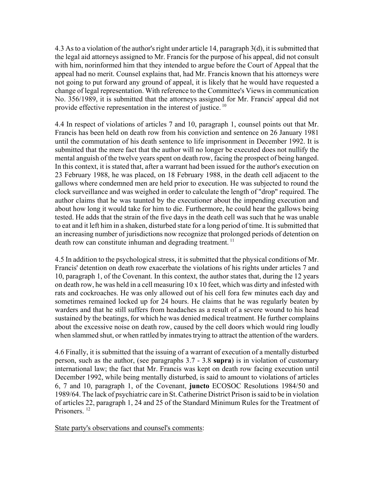4.3 As to a violation of the author's right under article 14, paragraph 3(d), it is submitted that the legal aid attorneys assigned to Mr. Francis for the purpose of his appeal, did not consult with him, norinformed him that they intended to argue before the Court of Appeal that the appeal had no merit. Counsel explains that, had Mr. Francis known that his attorneys were not going to put forward any ground of appeal, it is likely that he would have requested a change of legal representation. With reference to the Committee's Views in communication No. 356/1989, it is submitted that the attorneys assigned for Mr. Francis' appeal did not provide effective representation in the interest of justice.<sup>10</sup>

4.4 In respect of violations of articles 7 and 10, paragraph 1, counsel points out that Mr. Francis has been held on death row from his conviction and sentence on 26 January 1981 until the commutation of his death sentence to life imprisonment in December 1992. It is submitted that the mere fact that the author will no longer be executed does not nullify the mental anguish of the twelve years spent on death row, facing the prospect of being hanged. In this context, it is stated that, after a warrant had been issued for the author's execution on 23 February 1988, he was placed, on 18 February 1988, in the death cell adjacent to the gallows where condemned men are held prior to execution. He was subjected to round the clock surveillance and was weighed in order to calculate the length of "drop" required. The author claims that he was taunted by the executioner about the impending execution and about how long it would take for him to die. Furthermore, he could hear the gallows being tested. He adds that the strain of the five days in the death cell was such that he was unable to eat and it left him in a shaken, disturbed state for a long period of time. It is submitted that an increasing number of jurisdictions now recognize that prolonged periods of detention on death row can constitute inhuman and degrading treatment.<sup>11</sup>

4.5 In addition to the psychological stress, it is submitted that the physical conditions of Mr. Francis' detention on death row exacerbate the violations of his rights under articles 7 and 10, paragraph 1, of the Covenant. In this context, the author states that, during the 12 years on death row, he was held in a cell measuring 10 x 10 feet, which was dirty and infested with rats and cockroaches. He was only allowed out of his cell fora few minutes each day and sometimes remained locked up for 24 hours. He claims that he was regularly beaten by warders and that he still suffers from headaches as a result of a severe wound to his head sustained by the beatings, for which he was denied medical treatment. He further complains about the excessive noise on death row, caused by the cell doors which would ring loudly when slammed shut, or when rattled by inmates trying to attract the attention of the warders.

4.6 Finally, it is submitted that the issuing of a warrant of execution of a mentally disturbed person, such as the author, (see paragraphs 3.7 - 3.8 **supra**) is in violation of customary international law; the fact that Mr. Francis was kept on death row facing execution until December 1992, while being mentally disturbed, is said to amount to violations of articles 6, 7 and 10, paragraph 1, of the Covenant, **juncto** ECOSOC Resolutions 1984/50 and 1989/64. The lack of psychiatric care in St. Catherine District Prison is said to be in violation of articles 22, paragraph 1, 24 and 25 of the Standard Minimum Rules for the Treatment of Prisoners.<sup>12</sup>

State party's observations and counsel's comments: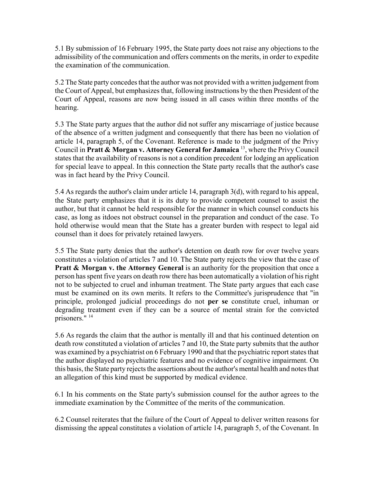5.1 By submission of 16 February 1995, the State party does not raise any objections to the admissibility of the communication and offers comments on the merits, in order to expedite the examination of the communication.

5.2 The State party concedes that the author was not provided with a written judgement from the Court of Appeal, but emphasizes that, following instructions by the then President of the Court of Appeal, reasons are now being issued in all cases within three months of the hearing.

5.3 The State party argues that the author did not suffer any miscarriage of justice because of the absence of a written judgment and consequently that there has been no violation of article 14, paragraph 5, of the Covenant. Reference is made to the judgment of the Privy Council in **Pratt & Morgan v. Attorney General for Jamaica** 13, where the Privy Council states that the availability of reasons is not a condition precedent for lodging an application for special leave to appeal. In this connection the State party recalls that the author's case was in fact heard by the Privy Council.

5.4 As regards the author's claim under article 14, paragraph 3(d), with regard to his appeal, the State party emphasizes that it is its duty to provide competent counsel to assist the author, but that it cannot be held responsible for the manner in which counsel conducts his case, as long as itdoes not obstruct counsel in the preparation and conduct of the case. To hold otherwise would mean that the State has a greater burden with respect to legal aid counsel than it does for privately retained lawyers.

5.5 The State party denies that the author's detention on death row for over twelve years constitutes a violation of articles 7 and 10. The State party rejects the view that the case of **Pratt & Morgan v. the Attorney General** is an authority for the proposition that once a person has spent five years on death row there has been automatically a violation of his right not to be subjected to cruel and inhuman treatment. The State party argues that each case must be examined on its own merits. It refers to the Committee's jurisprudence that "in principle, prolonged judicial proceedings do not **per se** constitute cruel, inhuman or degrading treatment even if they can be a source of mental strain for the convicted prisoners." <sup>14</sup>

5.6 As regards the claim that the author is mentally ill and that his continued detention on death row constituted a violation of articles 7 and 10, the State party submits that the author was examined by a psychiatrist on 6 February 1990 and that the psychiatric report states that the author displayed no psychiatric features and no evidence of cognitive impairment. On this basis, the State party rejects the assertions about the author's mental health and notes that an allegation of this kind must be supported by medical evidence.

6.1 In his comments on the State party's submission counsel for the author agrees to the immediate examination by the Committee of the merits of the communication.

6.2 Counsel reiterates that the failure of the Court of Appeal to deliver written reasons for dismissing the appeal constitutes a violation of article 14, paragraph 5, of the Covenant. In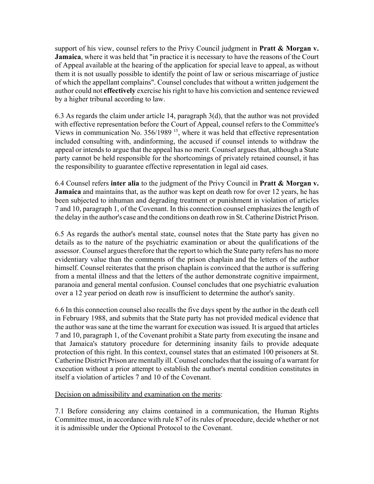support of his view, counsel refers to the Privy Council judgment in **Pratt & Morgan v. Jamaica**, where it was held that "in practice it is necessary to have the reasons of the Court of Appeal available at the hearing of the application for special leave to appeal, as without them it is not usually possible to identify the point of law or serious miscarriage of justice of which the appellant complains". Counsel concludes that without a written judgement the author could not **effectively** exercise his right to have his conviction and sentence reviewed by a higher tribunal according to law.

6.3 As regards the claim under article 14, paragraph 3(d), that the author was not provided with effective representation before the Court of Appeal, counsel refers to the Committee's Views in communication No.  $356/1989$  <sup>15</sup>, where it was held that effective representation included consulting with, andinforming, the accused if counsel intends to withdraw the appeal or intends to argue that the appeal has no merit. Counsel argues that, although a State party cannot be held responsible for the shortcomings of privately retained counsel, it has the responsibility to guarantee effective representation in legal aid cases.

6.4 Counsel refers **inter alia** to the judgment of the Privy Council in **Pratt & Morgan v. Jamaica** and maintains that, as the author was kept on death row for over 12 years, he has been subjected to inhuman and degrading treatment or punishment in violation of articles 7 and 10, paragraph 1, of the Covenant. In this connection counsel emphasizes the length of the delay in the author's case and the conditions on death row in St. Catherine District Prison.

6.5 As regards the author's mental state, counsel notes that the State party has given no details as to the nature of the psychiatric examination or about the qualifications of the assessor. Counsel argues therefore that the report to which the State party refers has no more evidentiary value than the comments of the prison chaplain and the letters of the author himself. Counsel reiterates that the prison chaplain is convinced that the author is suffering from a mental illness and that the letters of the author demonstrate cognitive impairment, paranoia and general mental confusion. Counsel concludes that one psychiatric evaluation over a 12 year period on death row is insufficient to determine the author's sanity.

6.6 In this connection counsel also recalls the five days spent by the author in the death cell in February 1988, and submits that the State party has not provided medical evidence that the author was sane at the time the warrant for execution was issued. It is argued that articles 7 and 10, paragraph 1, of the Covenant prohibit a State party from executing the insane and that Jamaica's statutory procedure for determining insanity fails to provide adequate protection of this right. In this context, counsel states that an estimated 100 prisoners at St. Catherine District Prison are mentally ill. Counsel concludes that the issuing of a warrant for execution without a prior attempt to establish the author's mental condition constitutes in itself a violation of articles 7 and 10 of the Covenant.

# Decision on admissibility and examination on the merits:

7.1 Before considering any claims contained in a communication, the Human Rights Committee must, in accordance with rule 87 of its rules of procedure, decide whether or not it is admissible under the Optional Protocol to the Covenant.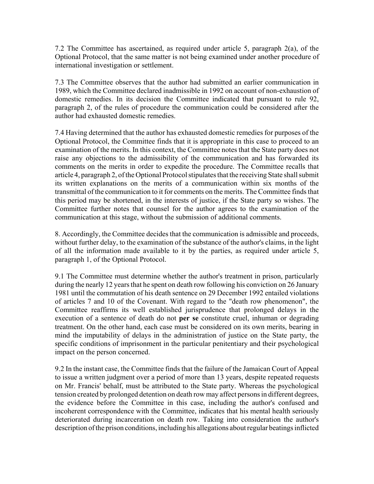7.2 The Committee has ascertained, as required under article 5, paragraph 2(a), of the Optional Protocol, that the same matter is not being examined under another procedure of international investigation or settlement.

7.3 The Committee observes that the author had submitted an earlier communication in 1989, which the Committee declared inadmissible in 1992 on account of non-exhaustion of domestic remedies. In its decision the Committee indicated that pursuant to rule 92, paragraph 2, of the rules of procedure the communication could be considered after the author had exhausted domestic remedies.

7.4 Having determined that the author has exhausted domestic remedies for purposes of the Optional Protocol, the Committee finds that it is appropriate in this case to proceed to an examination of the merits. In this context, the Committee notes that the State party does not raise any objections to the admissibility of the communication and has forwarded its comments on the merits in order to expedite the procedure. The Committee recalls that article 4, paragraph 2, of the Optional Protocol stipulates that the receiving State shall submit its written explanations on the merits of a communication within six months of the transmittal of the communication to it for comments on the merits. The Committee finds that this period may be shortened, in the interests of justice, if the State party so wishes. The Committee further notes that counsel for the author agrees to the examination of the communication at this stage, without the submission of additional comments.

8. Accordingly, the Committee decides that the communication is admissible and proceeds, without further delay, to the examination of the substance of the author's claims, in the light of all the information made available to it by the parties, as required under article 5, paragraph 1, of the Optional Protocol.

9.1 The Committee must determine whether the author's treatment in prison, particularly during the nearly 12 years that he spent on death row following his conviction on 26 January 1981 until the commutation of his death sentence on 29 December 1992 entailed violations of articles 7 and 10 of the Covenant. With regard to the "death row phenomenon", the Committee reaffirms its well established jurisprudence that prolonged delays in the execution of a sentence of death do not **per se** constitute cruel, inhuman or degrading treatment. On the other hand, each case must be considered on its own merits, bearing in mind the imputability of delays in the administration of justice on the State party, the specific conditions of imprisonment in the particular penitentiary and their psychological impact on the person concerned.

9.2 In the instant case, the Committee finds that the failure of the Jamaican Court of Appeal to issue a written judgment over a period of more than 13 years, despite repeated requests on Mr. Francis' behalf, must be attributed to the State party. Whereas the psychological tension created by prolonged detention on death row may affect persons in different degrees, the evidence before the Committee in this case, including the author's confused and incoherent correspondence with the Committee, indicates that his mental health seriously deteriorated during incarceration on death row. Taking into consideration the author's description of the prison conditions, including his allegations about regular beatings inflicted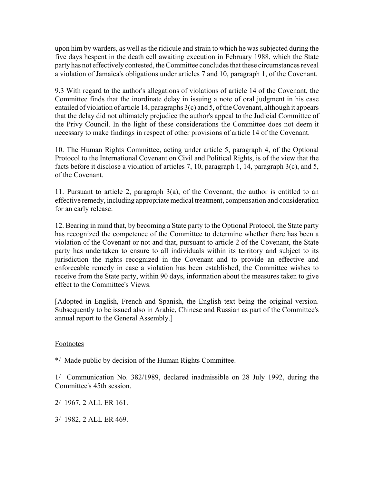upon him by warders, as well as the ridicule and strain to which he was subjected during the five days hespent in the death cell awaiting execution in February 1988, which the State party has not effectively contested, the Committee concludes that these circumstances reveal a violation of Jamaica's obligations under articles 7 and 10, paragraph 1, of the Covenant.

9.3 With regard to the author's allegations of violations of article 14 of the Covenant, the Committee finds that the inordinate delay in issuing a note of oral judgment in his case entailed of violation of article 14, paragraphs 3(c) and 5, of the Covenant, although it appears that the delay did not ultimately prejudice the author's appeal to the Judicial Committee of the Privy Council. In the light of these considerations the Committee does not deem it necessary to make findings in respect of other provisions of article 14 of the Covenant.

10. The Human Rights Committee, acting under article 5, paragraph 4, of the Optional Protocol to the International Covenant on Civil and Political Rights, is of the view that the facts before it disclose a violation of articles 7, 10, paragraph 1, 14, paragraph 3(c), and 5, of the Covenant.

11. Pursuant to article 2, paragraph 3(a), of the Covenant, the author is entitled to an effective remedy, including appropriate medical treatment, compensation and consideration for an early release.

12. Bearing in mind that, by becoming a State party to the Optional Protocol, the State party has recognized the competence of the Committee to determine whether there has been a violation of the Covenant or not and that, pursuant to article 2 of the Covenant, the State party has undertaken to ensure to all individuals within its territory and subject to its jurisdiction the rights recognized in the Covenant and to provide an effective and enforceable remedy in case a violation has been established, the Committee wishes to receive from the State party, within 90 days, information about the measures taken to give effect to the Committee's Views.

[Adopted in English, French and Spanish, the English text being the original version. Subsequently to be issued also in Arabic, Chinese and Russian as part of the Committee's annual report to the General Assembly.]

#### Footnotes

\*/ Made public by decision of the Human Rights Committee.

1/ Communication No. 382/1989, declared inadmissible on 28 July 1992, during the Committee's 45th session.

2/ 1967, 2 ALL ER 161.

3/ 1982, 2 ALL ER 469.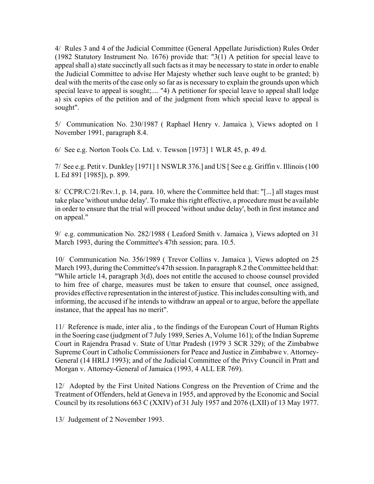4/ Rules 3 and 4 of the Judicial Committee (General Appellate Jurisdiction) Rules Order (1982 Statutory Instrument No. 1676) provide that: "3(1) A petition for special leave to appeal shall a) state succinctly all such facts as it may be necessary to state in order to enable the Judicial Committee to advise Her Majesty whether such leave ought to be granted; b) deal with the merits of the case only so far as is necessary to explain the grounds upon which special leave to appeal is sought;.... "4) A petitioner for special leave to appeal shall lodge a) six copies of the petition and of the judgment from which special leave to appeal is sought".

5/ Communication No. 230/1987 ( Raphael Henry v. Jamaica ), Views adopted on 1 November 1991, paragraph 8.4.

6/ See e.g. Norton Tools Co. Ltd. v. Tewson [1973] 1 WLR 45, p. 49 d.

7/ See e.g. Petit v. Dunkley [1971] 1 NSWLR 376.] and US [ See e.g. Griffin v. Illinois (100 L Ed 891 [1985]), p. 899.

8/ CCPR/C/21/Rev.1, p. 14, para. 10, where the Committee held that: "[...] all stages must take place 'without undue delay'. To make this right effective, a procedure must be available in order to ensure that the trial will proceed 'without undue delay', both in first instance and on appeal."

9/ e.g. communication No. 282/1988 ( Leaford Smith v. Jamaica ), Views adopted on 31 March 1993, during the Committee's 47th session; para. 10.5.

10/ Communication No. 356/1989 ( Trevor Collins v. Jamaica ), Views adopted on 25 March 1993, during the Committee's 47th session. In paragraph 8.2 the Committee held that: "While article 14, paragraph 3(d), does not entitle the accused to choose counsel provided to him free of charge, measures must be taken to ensure that counsel, once assigned, provides effective representation in the interest of justice. This includes consulting with, and informing, the accused if he intends to withdraw an appeal or to argue, before the appellate instance, that the appeal has no merit".

11/ Reference is made, inter alia , to the findings of the European Court of Human Rights in the Soering case (judgment of 7 July 1989, Series A, Volume 161); of the Indian Supreme Court in Rajendra Prasad v. State of Uttar Pradesh (1979 3 SCR 329); of the Zimbabwe Supreme Court in Catholic Commissioners for Peace and Justice in Zimbabwe v. Attorney-General (14 HRLJ 1993); and of the Judicial Committee of the Privy Council in Pratt and Morgan v. Attorney-General of Jamaica (1993, 4 ALL ER 769).

12/ Adopted by the First United Nations Congress on the Prevention of Crime and the Treatment of Offenders, held at Geneva in 1955, and approved by the Economic and Social Council by its resolutions 663 C (XXIV) of 31 July 1957 and 2076 (LXII) of 13 May 1977.

13/ Judgement of 2 November 1993.